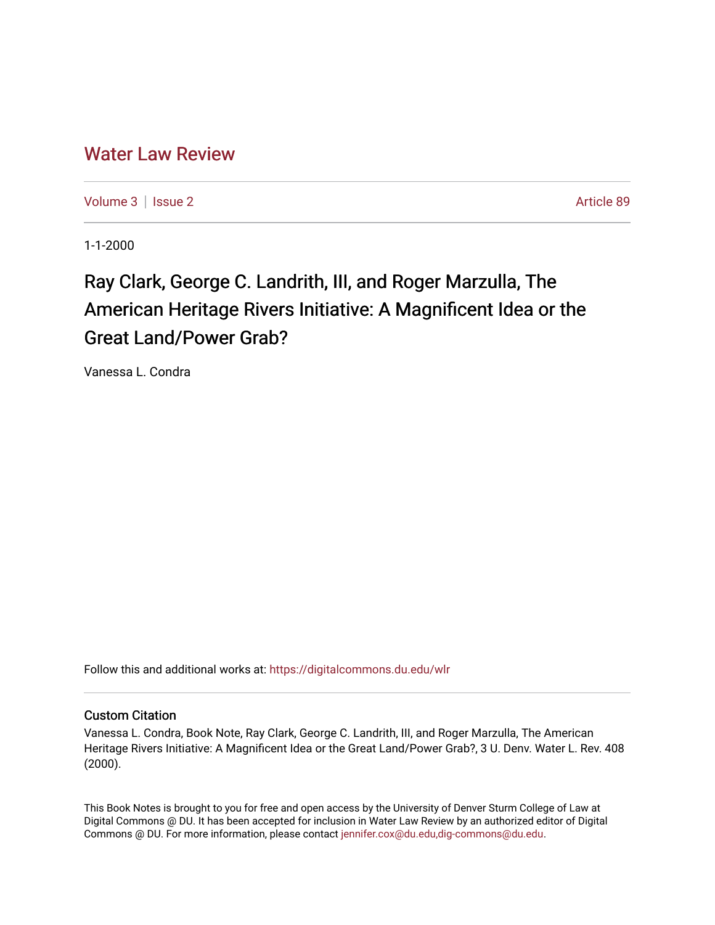## [Water Law Review](https://digitalcommons.du.edu/wlr)

[Volume 3](https://digitalcommons.du.edu/wlr/vol3) | [Issue 2](https://digitalcommons.du.edu/wlr/vol3/iss2) Article 89

1-1-2000

## Ray Clark, George C. Landrith, III, and Roger Marzulla, The American Heritage Rivers Initiative: A Magnificent Idea or the Great Land/Power Grab?

Vanessa L. Condra

Follow this and additional works at: [https://digitalcommons.du.edu/wlr](https://digitalcommons.du.edu/wlr?utm_source=digitalcommons.du.edu%2Fwlr%2Fvol3%2Fiss2%2F89&utm_medium=PDF&utm_campaign=PDFCoverPages) 

## Custom Citation

Vanessa L. Condra, Book Note, Ray Clark, George C. Landrith, III, and Roger Marzulla, The American Heritage Rivers Initiative: A Magnificent Idea or the Great Land/Power Grab?, 3 U. Denv. Water L. Rev. 408 (2000).

This Book Notes is brought to you for free and open access by the University of Denver Sturm College of Law at Digital Commons @ DU. It has been accepted for inclusion in Water Law Review by an authorized editor of Digital Commons @ DU. For more information, please contact [jennifer.cox@du.edu,dig-commons@du.edu.](mailto:jennifer.cox@du.edu,dig-commons@du.edu)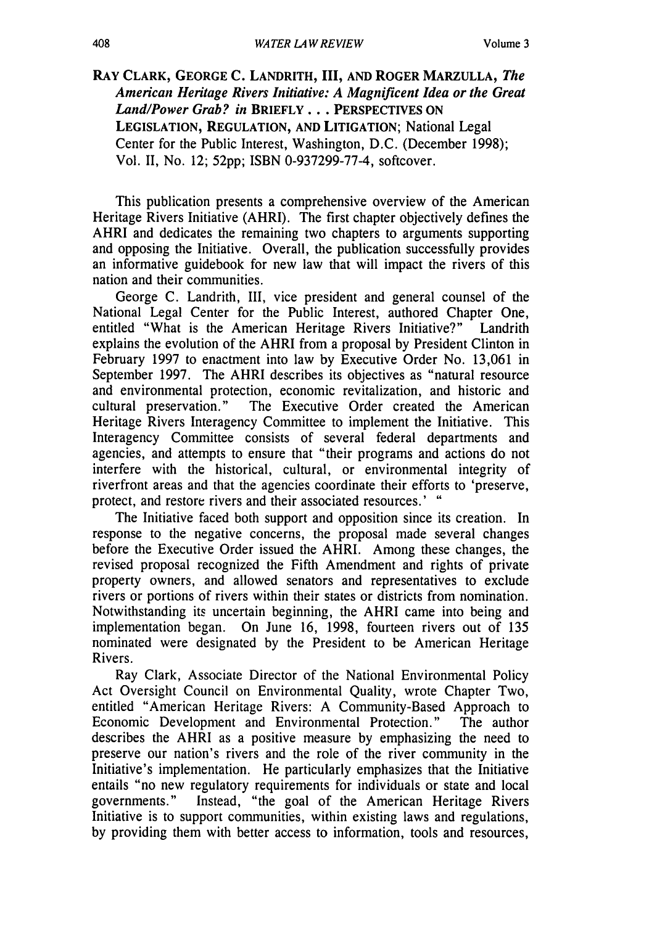**RAY CLARK, GEORGE C. LANDRITH, III, AND ROGER MARZULLA,** *The American Heritage Rivers Initiative: A Magnificent Idea or the Great Land/Power Grab? in* **BRIEFLY... PERSPECTIVES ON LEGISLATION, REGULATION, AND** LITIGATION; National Legal Center for the Public Interest, Washington, D.C. (December 1998); Vol. II, No. 12; 52pp; ISBN 0-937299-77-4, softcover.

This publication presents a comprehensive overview of the American Heritage Rivers Initiative (AHRI). The first chapter objectively defines the AHRI and dedicates the remaining two chapters to arguments supporting and opposing the Initiative. Overall, the publication successfully provides an informative guidebook for new law that will impact the rivers of this nation and their communities.

George C. Landrith, III, vice president and general counsel of the National Legal Center for the Public Interest, authored Chapter One, entitled "What is the American Heritage Rivers Initiative?" Landrith explains the evolution of the AHRI from a proposal by President Clinton in February 1997 to enactment into law by Executive Order No. 13,061 in September 1997. The AHRI describes its objectives as "natural resource and environmental protection, economic revitalization, and historic and cultural preservation." The Executive Order created the American Heritage Rivers Interagency Committee to implement the Initiative. This Interagency Committee consists of several federal departments and agencies, and attempts to ensure that "their programs and actions do not interfere with the historical, cultural, or environmental integrity of riverfront areas and that the agencies coordinate their efforts to 'preserve, protect, and restore rivers and their associated resources.' **"**

The Initiative faced both support and opposition since its creation. In response to the negative concerns, the proposal made several changes before the Executive Order issued the AHRI. Among these changes, the revised proposal recognized the Fifth Amendment and rights of private property owners, and allowed senators and representatives to exclude rivers or portions of rivers within their states or districts from nomination. Notwithstanding its uncertain beginning, the AHRI came into being and implementation began. On June 16, 1998, fourteen rivers out of 135 nominated were designated by the President to be American Heritage Rivers.

Ray Clark, Associate Director of the National Environmental Policy Act Oversight Council on Environmental Quality, wrote Chapter Two, entitled "American Heritage Rivers: A Community-Based Approach to Economic Development and Environmental Protection." The author describes the AHRI as a positive measure by emphasizing the need to preserve our nation's rivers and the role of the river community in the Initiative's implementation. He particularly emphasizes that the Initiative entails "no new regulatory requirements for individuals or state and local governments." Instead, "the goal of the American Heritage Rivers Initiative is to support communities, within existing laws and regulations, by providing them with better access to information, tools and resources,